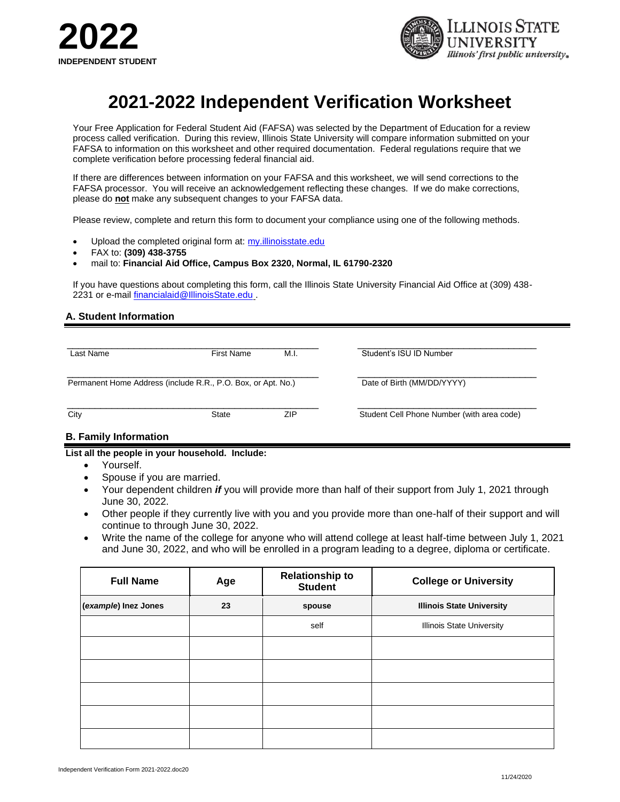



## **2021-2022 Independent Verification Worksheet**

Your Free Application for Federal Student Aid (FAFSA) was selected by the Department of Education for a review process called verification. During this review, Illinois State University will compare information submitted on your FAFSA to information on this worksheet and other required documentation. Federal regulations require that we complete verification before processing federal financial aid.

If there are differences between information on your FAFSA and this worksheet, we will send corrections to the FAFSA processor. You will receive an acknowledgement reflecting these changes. If we do make corrections, please do **not** make any subsequent changes to your FAFSA data.

Please review, complete and return this form to document your compliance using one of the following methods.

- Upload the completed original form at: my.illinoisstate.edu
- FAX to: **(309) 438-3755**
- mail to: **Financial Aid Office, Campus Box 2320, Normal, IL 61790-2320**

If you have questions about completing this form, call the Illinois State University Financial Aid Office at (309) 438 2231 or e-mail [financialaid@IllinoisState.edu](mailto:financialaid@IllinoisState.edu) .

### **A. Student Information**

| Last Name                                                    | <b>First Name</b> | M.I. | Student's ISU ID Number                    |  |
|--------------------------------------------------------------|-------------------|------|--------------------------------------------|--|
| Permanent Home Address (include R.R., P.O. Box, or Apt. No.) |                   |      | Date of Birth (MM/DD/YYYY)                 |  |
| City                                                         | State             | ZIP  | Student Cell Phone Number (with area code) |  |

## **B. Family Information**

**List all the people in your household. Include:**

- Yourself.
- Spouse if you are married.
- Your dependent children *if* you will provide more than half of their support from July 1, 2021 through June 30, 2022.
- Other people if they currently live with you and you provide more than one-half of their support and will continue to through June 30, 2022.
- Write the name of the college for anyone who will attend college at least half-time between July 1, 2021 and June 30, 2022, and who will be enrolled in a program leading to a degree, diploma or certificate.

| <b>Full Name</b>           | Age | <b>Relationship to</b><br><b>Student</b> | <b>College or University</b>     |
|----------------------------|-----|------------------------------------------|----------------------------------|
| (example) Inez Jones<br>23 |     | spouse                                   | <b>Illinois State University</b> |
|                            |     | self                                     | <b>Illinois State University</b> |
|                            |     |                                          |                                  |
|                            |     |                                          |                                  |
|                            |     |                                          |                                  |
|                            |     |                                          |                                  |
|                            |     |                                          |                                  |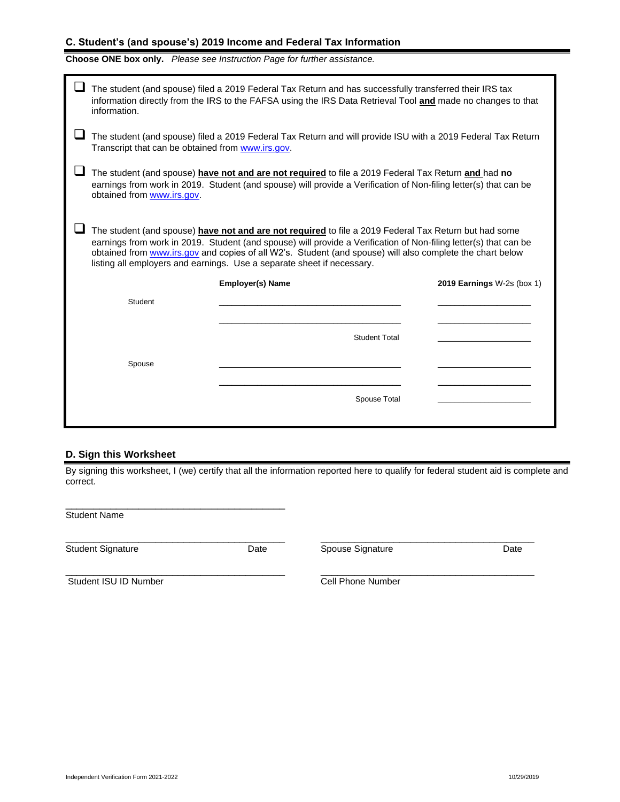## **C. Student's (and spouse's) 2019 Income and Federal Tax Information**

|  |  | Choose ONE box only. Please see Instruction Page for further assistance. |
|--|--|--------------------------------------------------------------------------|
|--|--|--------------------------------------------------------------------------|

|                                                                                                                                                                                                                                                                                                                                                                                                                  | The student (and spouse) filed a 2019 Federal Tax Return and has successfully transferred their IRS tax<br>information directly from the IRS to the FAFSA using the IRS Data Retrieval Tool and made no changes to that<br>information.               |                         |                            |  |  |  |
|------------------------------------------------------------------------------------------------------------------------------------------------------------------------------------------------------------------------------------------------------------------------------------------------------------------------------------------------------------------------------------------------------------------|-------------------------------------------------------------------------------------------------------------------------------------------------------------------------------------------------------------------------------------------------------|-------------------------|----------------------------|--|--|--|
|                                                                                                                                                                                                                                                                                                                                                                                                                  | The student (and spouse) filed a 2019 Federal Tax Return and will provide ISU with a 2019 Federal Tax Return<br>Transcript that can be obtained from www.irs.gov.                                                                                     |                         |                            |  |  |  |
|                                                                                                                                                                                                                                                                                                                                                                                                                  | The student (and spouse) have not and are not required to file a 2019 Federal Tax Return and had no<br>earnings from work in 2019. Student (and spouse) will provide a Verification of Non-filing letter(s) that can be<br>obtained from www.irs.gov. |                         |                            |  |  |  |
| The student (and spouse) have not and are not required to file a 2019 Federal Tax Return but had some<br>earnings from work in 2019. Student (and spouse) will provide a Verification of Non-filing letter(s) that can be<br>obtained from www.irs.gov and copies of all W2's. Student (and spouse) will also complete the chart below<br>listing all employers and earnings. Use a separate sheet if necessary. |                                                                                                                                                                                                                                                       |                         |                            |  |  |  |
|                                                                                                                                                                                                                                                                                                                                                                                                                  |                                                                                                                                                                                                                                                       | <b>Employer(s) Name</b> | 2019 Earnings W-2s (box 1) |  |  |  |
|                                                                                                                                                                                                                                                                                                                                                                                                                  | Student                                                                                                                                                                                                                                               |                         |                            |  |  |  |
|                                                                                                                                                                                                                                                                                                                                                                                                                  |                                                                                                                                                                                                                                                       |                         |                            |  |  |  |
|                                                                                                                                                                                                                                                                                                                                                                                                                  |                                                                                                                                                                                                                                                       | <b>Student Total</b>    |                            |  |  |  |
|                                                                                                                                                                                                                                                                                                                                                                                                                  | Spouse                                                                                                                                                                                                                                                |                         |                            |  |  |  |
|                                                                                                                                                                                                                                                                                                                                                                                                                  |                                                                                                                                                                                                                                                       |                         |                            |  |  |  |
|                                                                                                                                                                                                                                                                                                                                                                                                                  |                                                                                                                                                                                                                                                       |                         |                            |  |  |  |

## **D. Sign this Worksheet**

\_\_\_\_\_\_\_\_\_\_\_\_\_\_\_\_\_\_\_\_\_\_\_\_\_\_\_\_\_\_\_\_\_\_\_\_\_\_\_

By signing this worksheet, I (we) certify that all the information reported here to qualify for federal student aid is complete and correct.

\_\_\_\_\_\_\_\_\_\_\_\_\_\_\_\_\_\_\_\_\_\_\_\_\_\_\_\_\_\_\_\_\_\_\_\_\_\_\_ \_\_\_\_\_\_\_\_\_\_\_\_\_\_\_\_\_\_\_\_\_\_\_\_\_\_\_\_\_\_\_\_\_\_\_\_\_\_

\_\_\_\_\_\_\_\_\_\_\_\_\_\_\_\_\_\_\_\_\_\_\_\_\_\_\_\_\_\_\_\_\_\_\_\_\_\_\_ \_\_\_\_\_\_\_\_\_\_\_\_\_\_\_\_\_\_\_\_\_\_\_\_\_\_\_\_\_\_\_\_\_\_\_\_\_\_

Student Name

Student Signature **Calcular Contract Contract Contract Contract Contract Contract Contract Contract Contract Contract Contract Contract Contract Contract Contract Contract Contract Contract Contract Contract Contract Contr** 

Student ISU ID Number Cell Phone Number